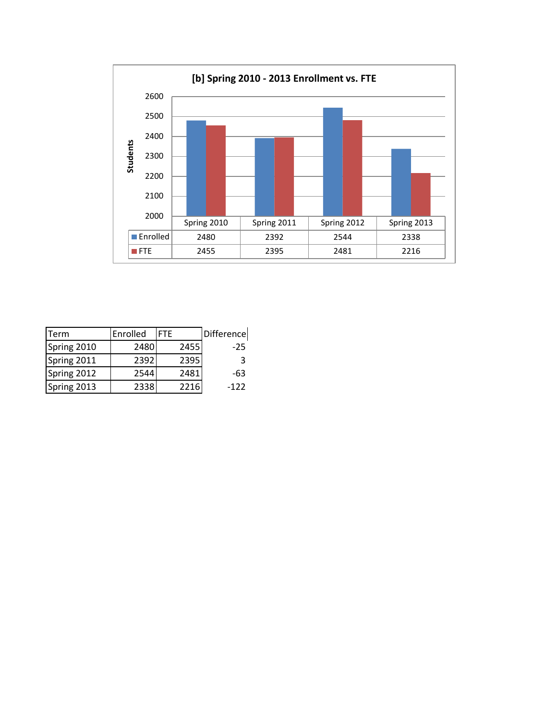

| <b>ITerm</b> | Enrolled | <b>FTF</b> | Difference |
|--------------|----------|------------|------------|
| Spring 2010  | 2480     | 2455       | $-25$      |
| Spring 2011  | 2392     | 2395       | २          |
| Spring 2012  | 2544     | 2481       | -63        |
| Spring 2013  | 2338     | 2216       | -122       |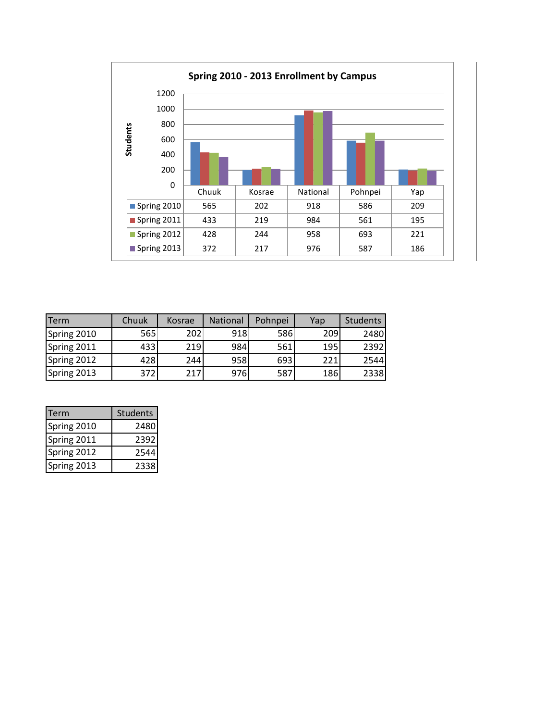

| <b>ITerm</b> | Chuuk | Kosrae | <b>National</b> | Pohnpei | Yap | <b>Students</b> |
|--------------|-------|--------|-----------------|---------|-----|-----------------|
| Spring 2010  | 565   | 202    | 918             | 586     | 209 | 2480            |
| Spring 2011  | 433   | 219    | 984             | 561     | 195 | 2392            |
| Spring 2012  | 428   | 244    | 958             | 693     | 221 | 2544            |
| Spring 2013  | 372   | 217    | 976             | 587     | 186 | 2338            |

| Term        | <b>Students</b> |
|-------------|-----------------|
| Spring 2010 | 2480            |
| Spring 2011 | 2392            |
| Spring 2012 | 2544            |
| Spring 2013 | 2338            |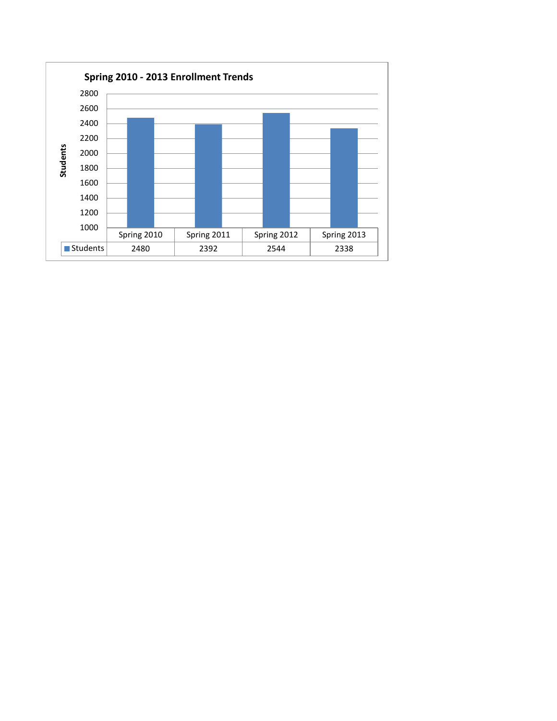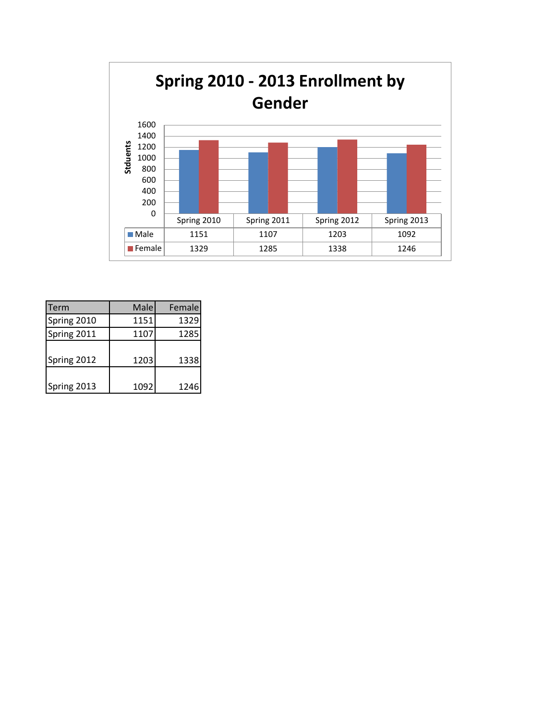

| Term        | Male | Female |
|-------------|------|--------|
| Spring 2010 | 1151 | 1329   |
| Spring 2011 | 1107 | 1285   |
| Spring 2012 | 1203 | 1338   |
| Spring 2013 | 1092 | 1246   |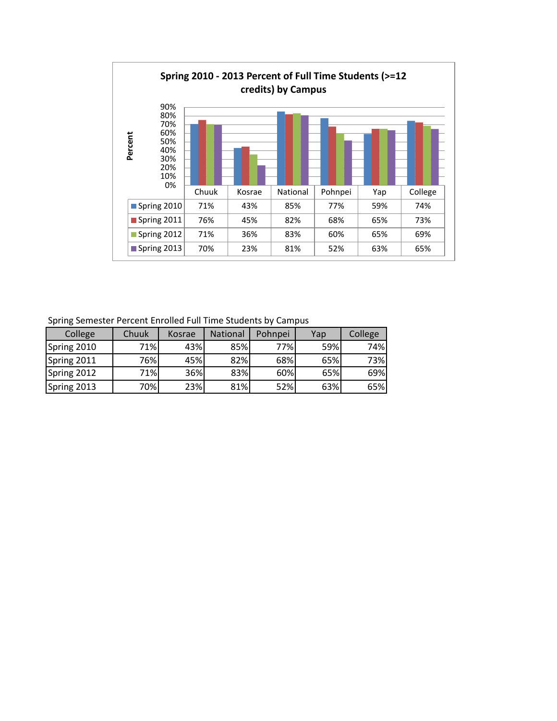

Spring Semester Percent Enrolled Full Time Students by Campus

| College     | Chuuk | Kosrae | <b>National</b> | Pohnpei | Yap | College |
|-------------|-------|--------|-----------------|---------|-----|---------|
| Spring 2010 | 71%   | 43%    | 85%             | 77%     | 59% | 74%     |
| Spring 2011 | 76%   | 45%    | 82%             | 68%     | 65% | 73%     |
| Spring 2012 | 71%   | 36%    | 83%             | 60%     | 65% | 69%     |
| Spring 2013 | 70%   | 23%    | 81%             | 52%     | 63% | 65%     |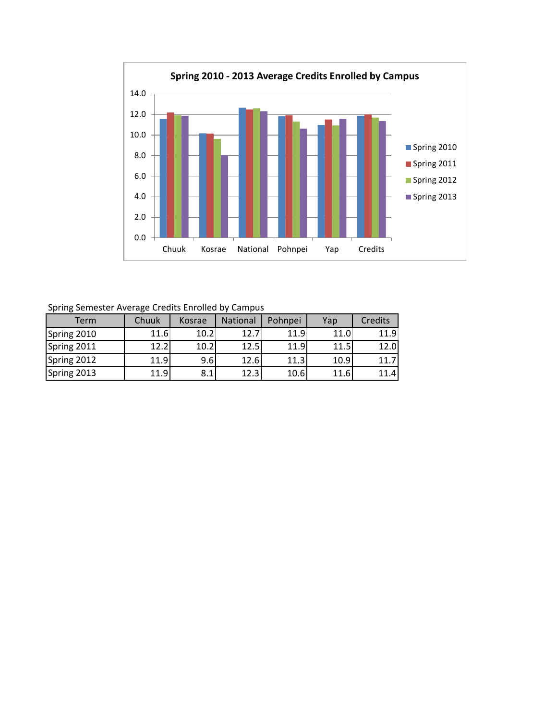

Spring Semester Average Credits Enrolled by Campus

| <b>Term</b> | Chuuk | Kosrae | <b>National</b> | Pohnpei | Yap  | <b>Credits</b> |
|-------------|-------|--------|-----------------|---------|------|----------------|
| Spring 2010 | 11.6  | 10.2   | 12.7            | 11.9    | 11.0 | 11.9           |
| Spring 2011 | 12.2  | 10.2   | 12.5            | 11.9    | 11.5 | 12.0           |
| Spring 2012 | 11.9  | 9.6    | 12.6            | 11.3    | 10.9 | 11.7           |
| Spring 2013 | L1.9l | 8.1    | 12.3            | 10.6    | 11.6 | 11.4           |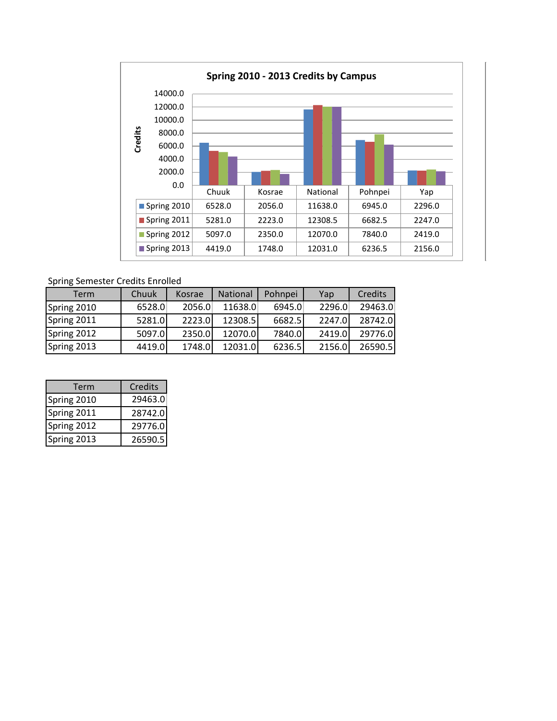

## Spring Semester Credits Enrolled

| Term        | Chuuk  | Kosrae | National | Pohnpei | Yap    | Credits |
|-------------|--------|--------|----------|---------|--------|---------|
| Spring 2010 | 6528.0 | 2056.0 | 11638.0  | 6945.0  | 2296.0 | 29463.0 |
| Spring 2011 | 5281.0 | 2223.0 | 12308.5  | 6682.5  | 2247.0 | 28742.0 |
| Spring 2012 | 5097.0 | 2350.0 | 12070.0  | 7840.0  | 2419.0 | 29776.0 |
| Spring 2013 | 4419.0 | 1748.0 | 12031.0  | 6236.5  | 2156.0 | 26590.5 |

| Term        | <b>Credits</b> |
|-------------|----------------|
| Spring 2010 | 29463.0        |
| Spring 2011 | 28742.0        |
| Spring 2012 | 29776.0        |
| Spring 2013 | 26590.5        |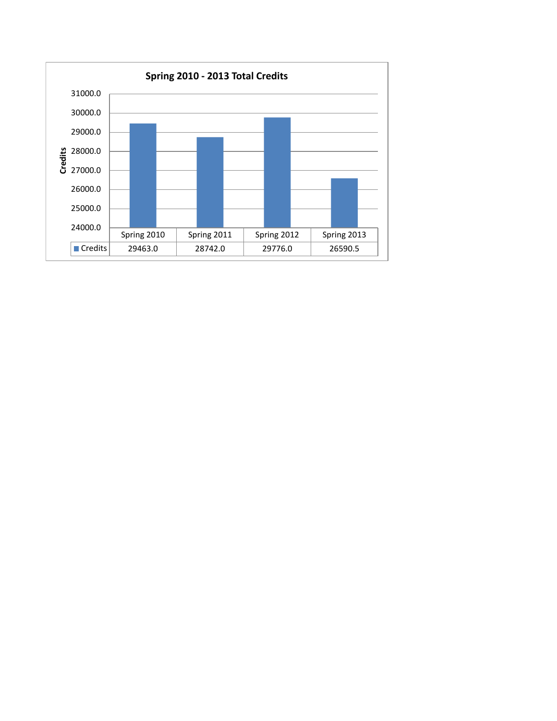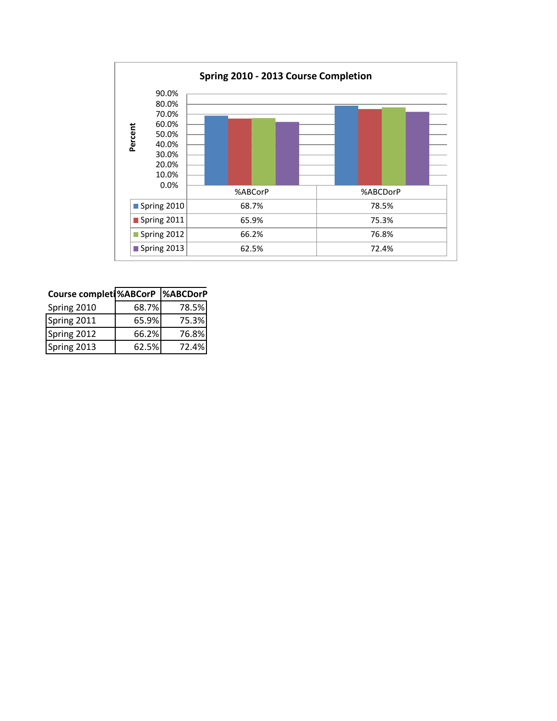

| Course completi%ABCorP  %ABCDorP |       |       |  |
|----------------------------------|-------|-------|--|
| Spring 2010                      | 68.7% | 78.5% |  |
| Spring 2011                      | 65.9% | 75.3% |  |
| Spring 2012                      | 66.2% | 76.8% |  |
| Spring 2013                      | 62.5% | 72.4% |  |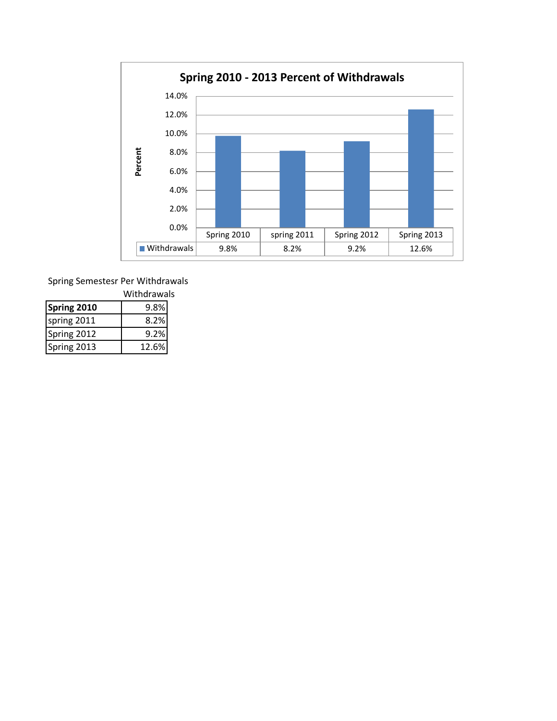

Spring Semestesr Per Withdrawals

| Withdrawals |       |  |
|-------------|-------|--|
| Spring 2010 | 9.8%  |  |
| spring 2011 | 8.2%  |  |
| Spring 2012 | 9.2%  |  |
| Spring 2013 | 12.6% |  |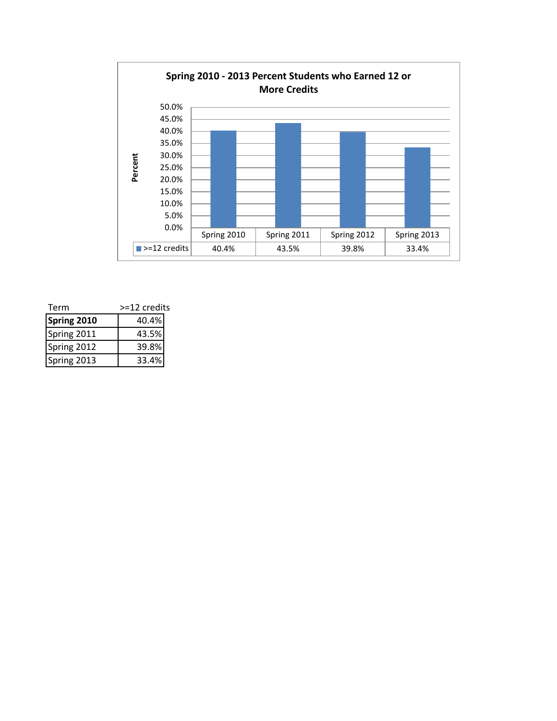

| Term        | >=12 credits |  |
|-------------|--------------|--|
| Spring 2010 | 40.4%        |  |
| Spring 2011 | 43.5%        |  |
| Spring 2012 | 39.8%        |  |
| Spring 2013 | 33.4%        |  |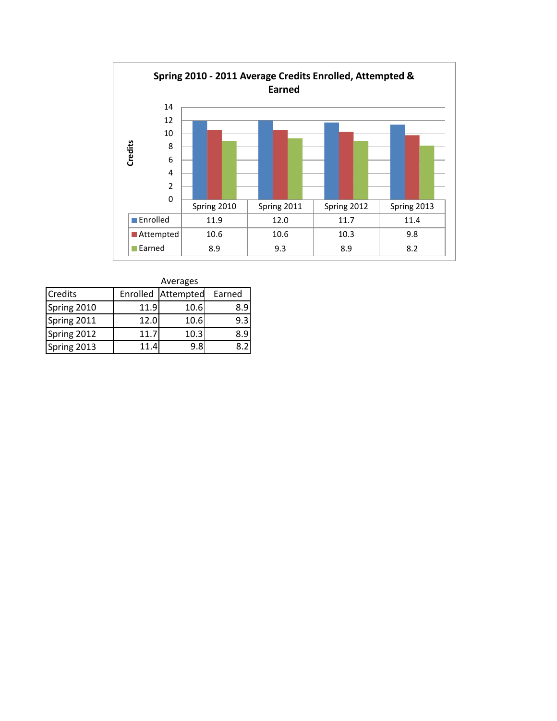

|             | Averages |                    |        |  |  |  |
|-------------|----------|--------------------|--------|--|--|--|
| Credits     |          | Enrolled Attempted | Earned |  |  |  |
| Spring 2010 | 11.9     | 10.6               | 8.9    |  |  |  |
| Spring 2011 | 12.0     | 10.6               | 9.3    |  |  |  |
| Spring 2012 | 11.7     | 10.3               | 89     |  |  |  |
| Spring 2013 | 11.4     | 9.8                |        |  |  |  |